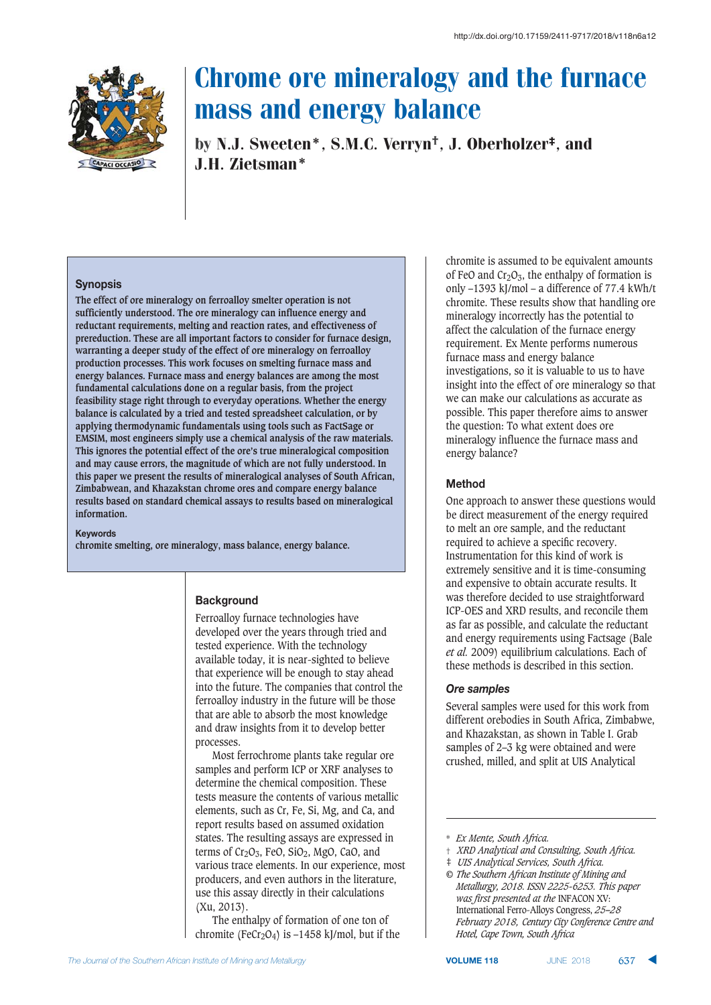

by N.J. Sweeten\*, S.M.C. Verryn†, J. Oberholzer‡, and J.H. Zietsman\*

#### **Synopsis**

**The effect of ore mineralogy on ferroalloy smelter operation is not sufficiently understood. The ore mineralogy can influence energy and reductant requirements, melting and reaction rates, and effectiveness of prereduction. These are all important factors to consider for furnace design, warranting a deeper study of the effect of ore mineralogy on ferroalloy production processes. This work focuses on smelting furnace mass and energy balances. Furnace mass and energy balances are among the most fundamental calculations done on a regular basis, from the project feasibility stage right through to everyday operations. Whether the energy balance is calculated by a tried and tested spreadsheet calculation, or by applying thermodynamic fundamentals using tools such as FactSage or EMSIM, most engineers simply use a chemical analysis of the raw materials. This ignores the potential effect of the ore's true mineralogical composition and may cause errors, the magnitude of which are not fully understood. In this paper we present the results of mineralogical analyses of South African, Zimbabwean, and Khazakstan chrome ores and compare energy balance results based on standard chemical assays to results based on mineralogical information.**

**.**<br>Keywords

**chromite smelting, ore mineralogy, mass balance, energy balance.**

#### **Background**

Ferroalloy furnace technologies have developed over the years through tried and tested experience. With the technology available today, it is near-sighted to believe that experience will be enough to stay ahead into the future. The companies that control the ferroalloy industry in the future will be those that are able to absorb the most knowledge and draw insights from it to develop better processes.

Most ferrochrome plants take regular ore samples and perform ICP or XRF analyses to determine the chemical composition. These tests measure the contents of various metallic elements, such as Cr, Fe, Si, Mg, and Ca, and report results based on assumed oxidation states. The resulting assays are expressed in terms of  $Cr_2O_3$ , FeO, SiO<sub>2</sub>, MgO, CaO, and various trace elements. In our experience, most producers, and even authors in the literature, use this assay directly in their calculations (Xu, 2013).

The enthalpy of formation of one ton of chromite (FeCr<sub>2</sub>O<sub>4</sub>) is  $-1458$  kJ/mol, but if the chromite is assumed to be equivalent amounts of FeO and  $Cr_2O_3$ , the enthalpy of formation is only –1393 kJ/mol – a difference of 77.4 kWh/t chromite. These results show that handling ore mineralogy incorrectly has the potential to affect the calculation of the furnace energy requirement. Ex Mente performs numerous furnace mass and energy balance investigations, so it is valuable to us to have insight into the effect of ore mineralogy so that we can make our calculations as accurate as possible. This paper therefore aims to answer the question: To what extent does ore mineralogy influence the furnace mass and energy balance?

#### $Method$

One approach to answer these questions would be direct measurement of the energy required to melt an ore sample, and the reductant required to achieve a specific recovery. Instrumentation for this kind of work is extremely sensitive and it is time-consuming and expensive to obtain accurate results. It was therefore decided to use straightforward ICP-OES and XRD results, and reconcile them as far as possible, and calculate the reductant and energy requirements using Factsage (Bale *et al.* 2009) equilibrium calculations. Each of these methods is described in this section.

## Ore samples

Several samples were used for this work from different orebodies in South Africa, Zimbabwe, and Khazakstan, as shown in Table I. Grab samples of 2–3 kg were obtained and were crushed, milled, and split at UIS Analytical

- † *XRD Analytical and Consulting, South Africa.*
- ‡ *UIS Analytical Services, South Africa.*
- *© The Southern African Institute of Mining and Metallurgy, 2018. ISSN 2225-6253. This paper was first presented at the* INFACON XV: International Ferro-Alloys Congress, *25–28 February 2018, Century City Conference Centre and Hotel, Cape Town, South Africa*

<sup>\*</sup> *Ex Mente, South Africa.*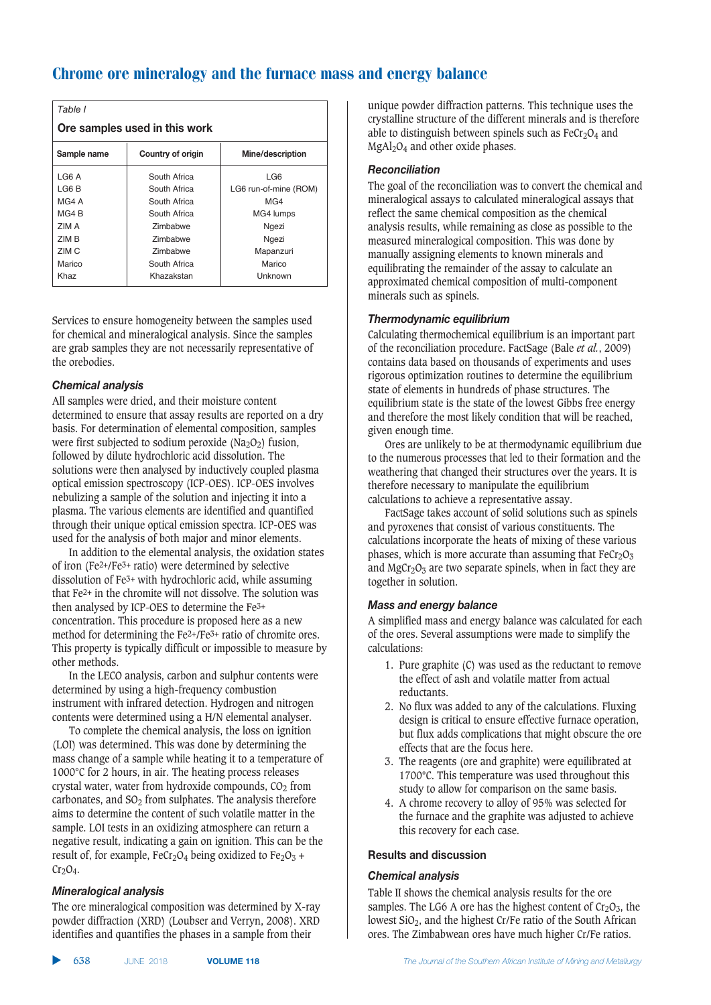| Table I                                              |                 |                       |  |  |  |  |  |  |
|------------------------------------------------------|-----------------|-----------------------|--|--|--|--|--|--|
| Ore samples used in this work                        |                 |                       |  |  |  |  |  |  |
| Sample name<br>Mine/description<br>Country of origin |                 |                       |  |  |  |  |  |  |
| LG6 A                                                | South Africa    | LG6                   |  |  |  |  |  |  |
| LG6 B                                                | South Africa    | LG6 run-of-mine (ROM) |  |  |  |  |  |  |
| MG4 A                                                | South Africa    | MG <sub>4</sub>       |  |  |  |  |  |  |
| MG4B                                                 | South Africa    | MG4 lumps             |  |  |  |  |  |  |
| ZIM A                                                | Zimbabwe        | Ngezi                 |  |  |  |  |  |  |
| 7IM B                                                | <b>Zimbabwe</b> | Ngezi                 |  |  |  |  |  |  |
| ZIM C                                                | Zimbabwe        | Mapanzuri             |  |  |  |  |  |  |
| Marico                                               | South Africa    | Marico                |  |  |  |  |  |  |
| Khaz                                                 | Khazakstan      | Unknown               |  |  |  |  |  |  |

Services to ensure homogeneity between the samples used for chemical and mineralogical analysis. Since the samples are grab samples they are not necessarily representative of the orebodies.

# **Chemical analysis**

All samples were dried, and their moisture content determined to ensure that assay results are reported on a dry basis. For determination of elemental composition, samples were first subjected to sodium peroxide ( $Na<sub>2</sub>O<sub>2</sub>$ ) fusion, followed by dilute hydrochloric acid dissolution. The solutions were then analysed by inductively coupled plasma optical emission spectroscopy (ICP-OES). ICP-OES involves nebulizing a sample of the solution and injecting it into a plasma. The various elements are identified and quantified through their unique optical emission spectra. ICP-OES was used for the analysis of both major and minor elements.

In addition to the elemental analysis, the oxidation states of iron (Fe2+/Fe3+ ratio) were determined by selective dissolution of Fe3+ with hydrochloric acid, while assuming that Fe2+ in the chromite will not dissolve. The solution was then analysed by ICP-OES to determine the Fe3+ concentration. This procedure is proposed here as a new method for determining the Fe2+/Fe3+ ratio of chromite ores. This property is typically difficult or impossible to measure by other methods.

In the LECO analysis, carbon and sulphur contents were determined by using a high-frequency combustion instrument with infrared detection. Hydrogen and nitrogen contents were determined using a H/N elemental analyser.

To complete the chemical analysis, the loss on ignition (LOI) was determined. This was done by determining the mass change of a sample while heating it to a temperature of 1000°C for 2 hours, in air. The heating process releases crystal water, water from hydroxide compounds,  $CO<sub>2</sub>$  from carbonates, and  $SO<sub>2</sub>$  from sulphates. The analysis therefore aims to determine the content of such volatile matter in the sample. LOI tests in an oxidizing atmosphere can return a negative result, indicating a gain on ignition. This can be the result of, for example, FeCr<sub>2</sub>O<sub>4</sub> being oxidized to Fe<sub>2</sub>O<sub>3</sub> +  $Cr<sub>2</sub>O<sub>4</sub>$ .

# **Mineralogical analysis**

The ore mineralogical composition was determined by X-ray powder diffraction (XRD) (Loubser and Verryn, 2008). XRD identifies and quantifies the phases in a sample from their

unique powder diffraction patterns. This technique uses the crystalline structure of the different minerals and is therefore able to distinguish between spinels such as  $Fecr<sub>2</sub>O<sub>4</sub>$  and MgAl<sub>2</sub>O<sub>4</sub> and other oxide phases.

# **Reconciliation**

The goal of the reconciliation was to convert the chemical and mineralogical assays to calculated mineralogical assays that reflect the same chemical composition as the chemical analysis results, while remaining as close as possible to the measured mineralogical composition. This was done by manually assigning elements to known minerals and equilibrating the remainder of the assay to calculate an approximated chemical composition of multi-component minerals such as spinels.

## **Thermodynamic equilibrium**

Calculating thermochemical equilibrium is an important part of the reconciliation procedure. FactSage (Bale *et al.*, 2009) contains data based on thousands of experiments and uses rigorous optimization routines to determine the equilibrium state of elements in hundreds of phase structures. The equilibrium state is the state of the lowest Gibbs free energy and therefore the most likely condition that will be reached, given enough time.

Ores are unlikely to be at thermodynamic equilibrium due to the numerous processes that led to their formation and the weathering that changed their structures over the years. It is therefore necessary to manipulate the equilibrium calculations to achieve a representative assay.

FactSage takes account of solid solutions such as spinels and pyroxenes that consist of various constituents. The calculations incorporate the heats of mixing of these various phases, which is more accurate than assuming that  $F_{cC_2O_3}$ and  $MgCr<sub>2</sub>O<sub>3</sub>$  are two separate spinels, when in fact they are together in solution.

# **Mass and energy balance**

A simplified mass and energy balance was calculated for each of the ores. Several assumptions were made to simplify the calculations:

- 1. Pure graphite (C) was used as the reductant to remove the effect of ash and volatile matter from actual reductants.
- 2. No flux was added to any of the calculations. Fluxing design is critical to ensure effective furnace operation, but flux adds complications that might obscure the ore effects that are the focus here.
- 3. The reagents (ore and graphite) were equilibrated at 1700°C. This temperature was used throughout this study to allow for comparison on the same basis.
- 4. A chrome recovery to alloy of 95% was selected for the furnace and the graphite was adjusted to achieve this recovery for each case.

#### **Results and discussion**

# **Chemical analysis**

Table II shows the chemical analysis results for the ore samples. The LG6 A ore has the highest content of  $Cr_2O_3$ , the lowest SiO<sub>2</sub>, and the highest Cr/Fe ratio of the South African ores. The Zimbabwean ores have much higher Cr/Fe ratios.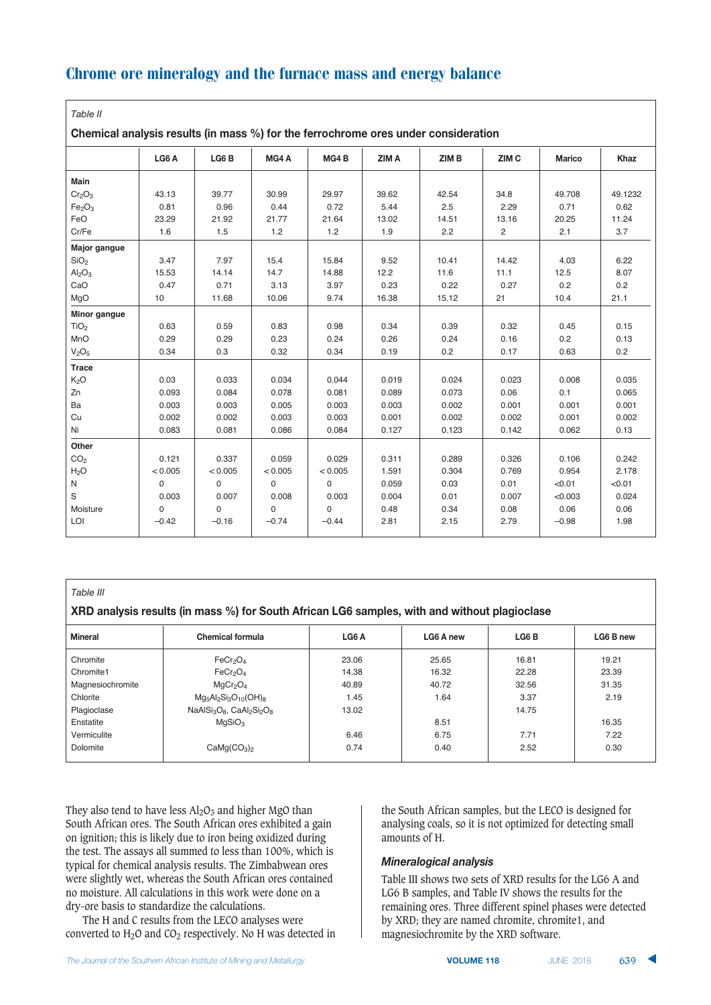| ۰.<br>×<br>۰ |  |
|--------------|--|
|--------------|--|

 $\alpha$  hamical analysis results (in mass %) for the ferrochrome ores under consideration

| Unchingal analysis results (in mass 70) for the ferrounding ores unucl consideration |          |                  |             |                  |       |       |                  |               |         |
|--------------------------------------------------------------------------------------|----------|------------------|-------------|------------------|-------|-------|------------------|---------------|---------|
|                                                                                      | LG6 A    | LG6 <sub>B</sub> | MG4A        | MG4 <sub>B</sub> | ZIM A | ZIM B | ZIM <sub>C</sub> | <b>Marico</b> | Khaz    |
| <b>Main</b>                                                                          |          |                  |             |                  |       |       |                  |               |         |
| Cr <sub>2</sub> O <sub>3</sub>                                                       | 43.13    | 39.77            | 30.99       | 29.97            | 39.62 | 42.54 | 34.8             | 49.708        | 49.1232 |
| Fe <sub>2</sub> O <sub>3</sub>                                                       | 0.81     | 0.96             | 0.44        | 0.72             | 5.44  | 2.5   | 2.29             | 0.71          | 0.62    |
| FeO                                                                                  | 23.29    | 21.92            | 21.77       | 21.64            | 13.02 | 14.51 | 13.16            | 20.25         | 11.24   |
| Cr/Fe                                                                                | 1.6      | 1.5              | 1.2         | 1.2              | 1.9   | 2.2   | $\overline{2}$   | 2.1           | 3.7     |
| Major gangue                                                                         |          |                  |             |                  |       |       |                  |               |         |
| SiO <sub>2</sub>                                                                     | 3.47     | 7.97             | 15.4        | 15.84            | 9.52  | 10.41 | 14.42            | 4.03          | 6.22    |
| Al <sub>2</sub> O <sub>3</sub>                                                       | 15.53    | 14.14            | 14.7        | 14.88            | 12.2  | 11.6  | 11.1             | 12.5          | 8.07    |
| CaO                                                                                  | 0.47     | 0.71             | 3.13        | 3.97             | 0.23  | 0.22  | 0.27             | 0.2           | 0.2     |
| MgO                                                                                  | 10       | 11.68            | 10.06       | 9.74             | 16.38 | 15.12 | 21               | 10.4          | 21.1    |
| Minor gangue                                                                         |          |                  |             |                  |       |       |                  |               |         |
| TiO <sub>2</sub>                                                                     | 0.63     | 0.59             | 0.83        | 0.98             | 0.34  | 0.39  | 0.32             | 0.45          | 0.15    |
| MnO                                                                                  | 0.29     | 0.29             | 0.23        | 0.24             | 0.26  | 0.24  | 0.16             | 0.2           | 0.13    |
| V <sub>2</sub> O <sub>5</sub>                                                        | 0.34     | 0.3              | 0.32        | 0.34             | 0.19  | 0.2   | 0.17             | 0.63          | 0.2     |
| <b>Trace</b>                                                                         |          |                  |             |                  |       |       |                  |               |         |
| K <sub>2</sub> O                                                                     | 0.03     | 0.033            | 0.034       | 0.044            | 0.019 | 0.024 | 0.023            | 0.008         | 0.035   |
| Zn                                                                                   | 0.093    | 0.084            | 0.078       | 0.081            | 0.089 | 0.073 | 0.06             | 0.1           | 0.065   |
| Ba                                                                                   | 0.003    | 0.003            | 0.005       | 0.003            | 0.003 | 0.002 | 0.001            | 0.001         | 0.001   |
| Cu                                                                                   | 0.002    | 0.002            | 0.003       | 0.003            | 0.001 | 0.002 | 0.002            | 0.001         | 0.002   |
| Ni                                                                                   | 0.083    | 0.081            | 0.086       | 0.084            | 0.127 | 0.123 | 0.142            | 0.062         | 0.13    |
| Other                                                                                |          |                  |             |                  |       |       |                  |               |         |
| CO <sub>2</sub>                                                                      | 0.121    | 0.337            | 0.059       | 0.029            | 0.311 | 0.289 | 0.326            | 0.106         | 0.242   |
| H <sub>2</sub> O                                                                     | < 0.005  | < 0.005          | < 0.005     | < 0.005          | 1.591 | 0.304 | 0.769            | 0.954         | 2.178   |
| N                                                                                    | $\Omega$ | $\mathbf 0$      | $\mathbf 0$ | 0                | 0.059 | 0.03  | 0.01             | < 0.01        | < 0.01  |
| S                                                                                    | 0.003    | 0.007            | 0.008       | 0.003            | 0.004 | 0.01  | 0.007            | < 0.003       | 0.024   |
| Moisture                                                                             | 0        | $\mathbf 0$      | $\mathbf 0$ | 0                | 0.48  | 0.34  | 0.08             | 0.06          | 0.06    |
| LOI                                                                                  | $-0.42$  | $-0.16$          | $-0.74$     | $-0.44$          | 2.81  | 2.15  | 2.79             | $-0.98$       | 1.98    |

#### *Table III*

#### **1/2)** XRD analysis results (in mass %) for South African LG6 samples, with and without plagioclase

| <b>Mineral</b>   | <b>Chemical formula</b>             | LG6A  | LG6 A new | LG6 <sub>B</sub> | LG6 B new |
|------------------|-------------------------------------|-------|-----------|------------------|-----------|
| Chromite         | FeCr <sub>2</sub> O <sub>4</sub>    | 23.06 | 25.65     | 16.81            | 19.21     |
| Chromite1        | FeCr <sub>2</sub> O <sub>4</sub>    | 14.38 | 16.32     | 22.28            | 23.39     |
| Magnesiochromite | MqCr <sub>2</sub> O <sub>4</sub>    | 40.89 | 40.72     | 32.56            | 31.35     |
| Chlorite         | $Mg_5Al_2Si_3O_{10}(OH)_{8}$        | 1.45  | 1.64      | 3.37             | 2.19      |
| Plagioclase      | $NaAlSi3O8$ , $CaAl2Si2O8$          | 13.02 |           | 14.75            |           |
| Enstatite        | MqSiO <sub>3</sub>                  |       | 8.51      |                  | 16.35     |
| Vermiculite      |                                     | 6.46  | 6.75      | 7.71             | 7.22      |
| Dolomite         | CaMg(CO <sub>3</sub> ) <sub>2</sub> | 0.74  | 0.40      | 2.52             | 0.30      |
|                  |                                     |       |           |                  |           |

They also tend to have less  $Al_2O_3$  and higher MgO than South African ores. The South African ores exhibited a gain on ignition; this is likely due to iron being oxidized during the test. The assays all summed to less than 100%, which is typical for chemical analysis results. The Zimbabwean ores were slightly wet, whereas the South African ores contained no moisture. All calculations in this work were done on a dry-ore basis to standardize the calculations.

The H and C results from the LECO analyses were converted to  $H_2O$  and  $CO_2$  respectively. No H was detected in the South African samples, but the LECO is designed for analysing coals, so it is not optimized for detecting small amounts of H.

#### **Mineralogical analysis**

Table III shows two sets of XRD results for the LG6 A and LG6 B samples, and Table IV shows the results for the remaining ores. Three different spinel phases were detected by XRD; they are named chromite, chromite1, and magnesiochromite by the XRD software.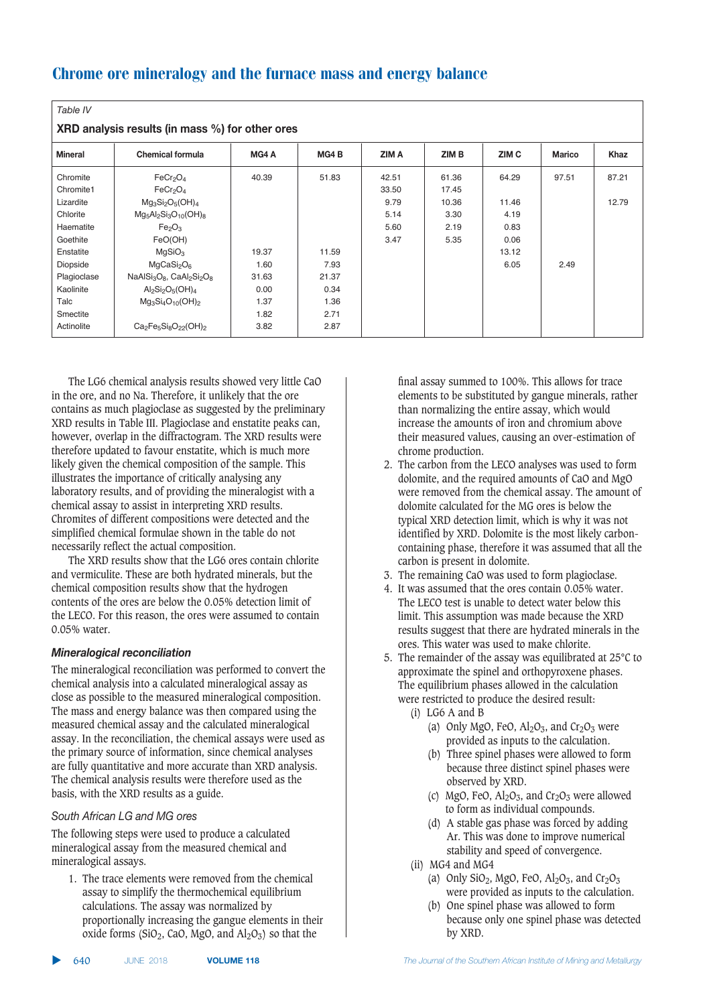| Table IV                                        |                                    |       |       |       |       |                  |        |             |  |  |
|-------------------------------------------------|------------------------------------|-------|-------|-------|-------|------------------|--------|-------------|--|--|
| XRD analysis results (in mass %) for other ores |                                    |       |       |       |       |                  |        |             |  |  |
| <b>Mineral</b>                                  | <b>Chemical formula</b>            | MG4 A | MG4B  | ZIM A | ZIM B | ZIM <sub>C</sub> | Marico | <b>Khaz</b> |  |  |
| Chromite                                        | FeCr <sub>2</sub> O <sub>4</sub>   | 40.39 | 51.83 | 42.51 | 61.36 | 64.29            | 97.51  | 87.21       |  |  |
| Chromite1                                       | FeCr <sub>2</sub> O <sub>4</sub>   |       |       | 33.50 | 17.45 |                  |        |             |  |  |
| Lizardite                                       | $Mg_3Si_2O_5(OH)_4$                |       |       | 9.79  | 10.36 | 11.46            |        | 12.79       |  |  |
| Chlorite                                        | $Mg_5Al_2Si_3O_{10}(OH)_{8}$       |       |       | 5.14  | 3.30  | 4.19             |        |             |  |  |
| Haematite                                       | Fe <sub>2</sub> O <sub>3</sub>     |       |       | 5.60  | 2.19  | 0.83             |        |             |  |  |
| Goethite                                        | FeO(OH)                            |       |       | 3.47  | 5.35  | 0.06             |        |             |  |  |
| Enstatite                                       | MgSiO <sub>3</sub>                 | 19.37 | 11.59 |       |       | 13.12            |        |             |  |  |
| Diopside                                        | MqCasi <sub>2</sub> O <sub>6</sub> | 1.60  | 7.93  |       |       | 6.05             | 2.49   |             |  |  |
| Plagioclase                                     | $NaAlSi3O8$ , $CaAl2Si2O8$         | 31.63 | 21.37 |       |       |                  |        |             |  |  |
| Kaolinite                                       | $Al_2Si_2O_5(OH)_4$                | 0.00  | 0.34  |       |       |                  |        |             |  |  |
| Talc                                            | $Mg_3Si_4O_{10}(OH)_2$             | 1.37  | 1.36  |       |       |                  |        |             |  |  |
| Smectite                                        |                                    | 1.82  | 2.71  |       |       |                  |        |             |  |  |
| Actinolite                                      | $Ca2Fe5Si8O22(OH)2$                | 3.82  | 2.87  |       |       |                  |        |             |  |  |

The LG6 chemical analysis results showed very little CaO in the ore, and no Na. Therefore, it unlikely that the ore contains as much plagioclase as suggested by the preliminary XRD results in Table III. Plagioclase and enstatite peaks can, however, overlap in the diffractogram. The XRD results were therefore updated to favour enstatite, which is much more likely given the chemical composition of the sample. This illustrates the importance of critically analysing any laboratory results, and of providing the mineralogist with a chemical assay to assist in interpreting XRD results. Chromites of different compositions were detected and the simplified chemical formulae shown in the table do not necessarily reflect the actual composition.

The XRD results show that the LG6 ores contain chlorite and vermiculite. These are both hydrated minerals, but the chemical composition results show that the hydrogen contents of the ores are below the 0.05% detection limit of the LECO. For this reason, the ores were assumed to contain 0.05% water.

# **Mineralogical reconciliation**

The mineralogical reconciliation was performed to convert the chemical analysis into a calculated mineralogical assay as close as possible to the measured mineralogical composition. The mass and energy balance was then compared using the measured chemical assay and the calculated mineralogical assay. In the reconciliation, the chemical assays were used as the primary source of information, since chemical analyses are fully quantitative and more accurate than XRD analysis. The chemical analysis results were therefore used as the basis, with the XRD results as a guide.

# South African LG and MG ores

The following steps were used to produce a calculated mineralogical assay from the measured chemical and mineralogical assays.

1. The trace elements were removed from the chemical assay to simplify the thermochemical equilibrium calculations. The assay was normalized by proportionally increasing the gangue elements in their oxide forms (SiO<sub>2</sub>, CaO, MgO, and  $\text{Al}_2\text{O}_3$ ) so that the

final assay summed to 100%. This allows for trace elements to be substituted by gangue minerals, rather than normalizing the entire assay, which would increase the amounts of iron and chromium above their measured values, causing an over-estimation of chrome production.

- 2. The carbon from the LECO analyses was used to form dolomite, and the required amounts of CaO and MgO were removed from the chemical assay. The amount of dolomite calculated for the MG ores is below the typical XRD detection limit, which is why it was not identified by XRD. Dolomite is the most likely carboncontaining phase, therefore it was assumed that all the carbon is present in dolomite.
- 3. The remaining CaO was used to form plagioclase.
- 4. It was assumed that the ores contain 0.05% water. The LECO test is unable to detect water below this limit. This assumption was made because the XRD results suggest that there are hydrated minerals in the ores. This water was used to make chlorite.
- 5. The remainder of the assay was equilibrated at 25°C to approximate the spinel and orthopyroxene phases. The equilibrium phases allowed in the calculation were restricted to produce the desired result:
	- (i) LG6 A and B
		- (a) Only MgO, FeO,  $Al_2O_3$ , and  $Cr_2O_3$  were provided as inputs to the calculation.
		- (b) Three spinel phases were allowed to form because three distinct spinel phases were observed by XRD.
		- (c) MgO, FeO,  $Al_2O_3$ , and  $Cr_2O_3$  were allowed to form as individual compounds.
		- (d) A stable gas phase was forced by adding Ar. This was done to improve numerical stability and speed of convergence.
	- (ii) MG4 and MG4
		- (a) Only  $SiO_2$ , MgO, FeO,  $Al_2O_3$ , and  $Cr_2O_3$ were provided as inputs to the calculation.
		- (b) One spinel phase was allowed to form because only one spinel phase was detected by XRD.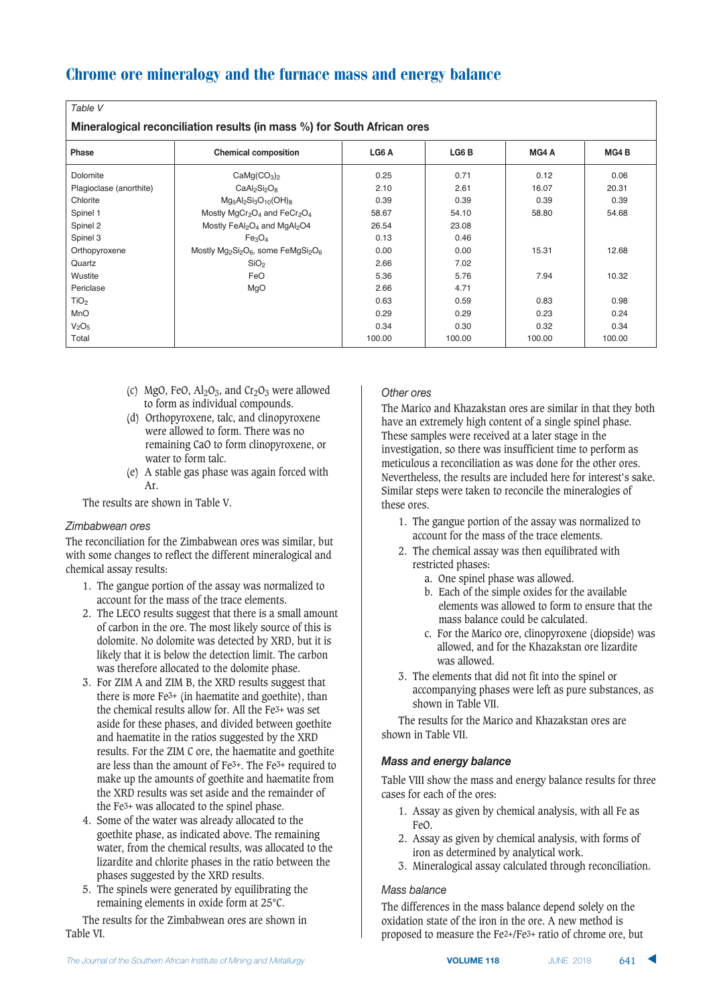| ۰.<br>٧<br>× |  |
|--------------|--|
|--------------|--|

**Mineralogical reconciliation results (in mass %) for South African orgs** 

| Phase                         | <b>Chemical composition</b>                                                                     | LG6 A  | LG6 <sub>B</sub> | MG4A   | MG4 <sub>B</sub> |  |  |  |  |  |  |
|-------------------------------|-------------------------------------------------------------------------------------------------|--------|------------------|--------|------------------|--|--|--|--|--|--|
| Dolomite                      | CaMg(CO <sub>3</sub> ) <sub>2</sub>                                                             | 0.25   | 0.71             | 0.12   | 0.06             |  |  |  |  |  |  |
| Plagioclase (anorthite)       | $CaAl2Si2O8$                                                                                    | 2.10   | 2.61             | 16.07  | 20.31            |  |  |  |  |  |  |
| Chlorite                      | $Mg_5Al_2Si_3O_{10}(OH)_{8}$                                                                    | 0.39   | 0.39             | 0.39   | 0.39             |  |  |  |  |  |  |
| Spinel 1                      | Mostly MgCr <sub>2</sub> O <sub>4</sub> and FeCr <sub>2</sub> O <sub>4</sub>                    | 58.67  | 54.10            | 58.80  | 54.68            |  |  |  |  |  |  |
| Spinel 2                      | Mostly FeAl2O <sub>4</sub> and MgAl <sub>2</sub> O4                                             | 26.54  | 23.08            |        |                  |  |  |  |  |  |  |
| Spinel 3                      | Fe <sub>3</sub> O <sub>4</sub>                                                                  | 0.13   | 0.46             |        |                  |  |  |  |  |  |  |
| Orthopyroxene                 | Mostly Mg <sub>2</sub> Si <sub>2</sub> O <sub>6</sub> , some FeMgSi <sub>2</sub> O <sub>6</sub> | 0.00   | 0.00             | 15.31  | 12.68            |  |  |  |  |  |  |
| Quartz                        | SiO <sub>2</sub>                                                                                | 2.66   | 7.02             |        |                  |  |  |  |  |  |  |
| Wustite                       | FeO                                                                                             | 5.36   | 5.76             | 7.94   | 10.32            |  |  |  |  |  |  |
| Periclase                     | MgO                                                                                             | 2.66   | 4.71             |        |                  |  |  |  |  |  |  |
| TiO <sub>2</sub>              |                                                                                                 | 0.63   | 0.59             | 0.83   | 0.98             |  |  |  |  |  |  |
| MnO                           |                                                                                                 | 0.29   | 0.29             | 0.23   | 0.24             |  |  |  |  |  |  |
| V <sub>2</sub> O <sub>5</sub> |                                                                                                 | 0.34   | 0.30             | 0.32   | 0.34             |  |  |  |  |  |  |
| Total                         |                                                                                                 | 100.00 | 100.00           | 100.00 | 100.00           |  |  |  |  |  |  |

- (c) MgO, FeO,  $\text{Al}_2\text{O}_3$ , and Cr<sub>2</sub>O<sub>3</sub> were allowed to form as individual compounds.
- (d) Orthopyroxene, talc, and clinopyroxene were allowed to form. There was no remaining CaO to form clinopyroxene, or water to form talc.
- (e) A stable gas phase was again forced with Ar.

The results are shown in Table V.

# Zimbabwean ores

The reconciliation for the Zimbabwean ores was similar, but with some changes to reflect the different mineralogical and chemical assay results:

- 1. The gangue portion of the assay was normalized to account for the mass of the trace elements.
- 2. The LECO results suggest that there is a small amount of carbon in the ore. The most likely source of this is dolomite. No dolomite was detected by XRD, but it is likely that it is below the detection limit. The carbon was therefore allocated to the dolomite phase.
- 3. For ZIM A and ZIM B, the XRD results suggest that there is more  $Fe<sup>3+</sup>$  (in haematite and goethite), than the chemical results allow for. All the Fe3+ was set aside for these phases, and divided between goethite and haematite in the ratios suggested by the XRD results. For the ZIM C ore, the haematite and goethite are less than the amount of Fe3+. The Fe3+ required to make up the amounts of goethite and haematite from the XRD results was set aside and the remainder of the Fe3+ was allocated to the spinel phase.
- 4. Some of the water was already allocated to the goethite phase, as indicated above. The remaining water, from the chemical results, was allocated to the lizardite and chlorite phases in the ratio between the phases suggested by the XRD results.
- 5. The spinels were generated by equilibrating the remaining elements in oxide form at 25°C.

The results for the Zimbabwean ores are shown in Table VI.

# Other ores

The Marico and Khazakstan ores are similar in that they both have an extremely high content of a single spinel phase. These samples were received at a later stage in the investigation, so there was insufficient time to perform as meticulous a reconciliation as was done for the other ores. Nevertheless, the results are included here for interest's sake. Similar steps were taken to reconcile the mineralogies of these ores.

- 1. The gangue portion of the assay was normalized to account for the mass of the trace elements.
- 2. The chemical assay was then equilibrated with restricted phases:
	- a. One spinel phase was allowed.
	- b. Each of the simple oxides for the available elements was allowed to form to ensure that the mass balance could be calculated.
	- c. For the Marico ore, clinopyroxene (diopside) was allowed, and for the Khazakstan ore lizardite was allowed.
- 3. The elements that did not fit into the spinel or accompanying phases were left as pure substances, as shown in Table VII.

The results for the Marico and Khazakstan ores are shown in Table VII.

#### **Mass and energy balance**

Table VIII show the mass and energy balance results for three cases for each of the ores:

- 1. Assay as given by chemical analysis, with all Fe as FeO.
- 2. Assay as given by chemical analysis, with forms of iron as determined by analytical work.
- 3. Mineralogical assay calculated through reconciliation.

#### **Mass balance**

The differences in the mass balance depend solely on the oxidation state of the iron in the ore. A new method is proposed to measure the Fe2+/Fe3+ ratio of chrome ore, but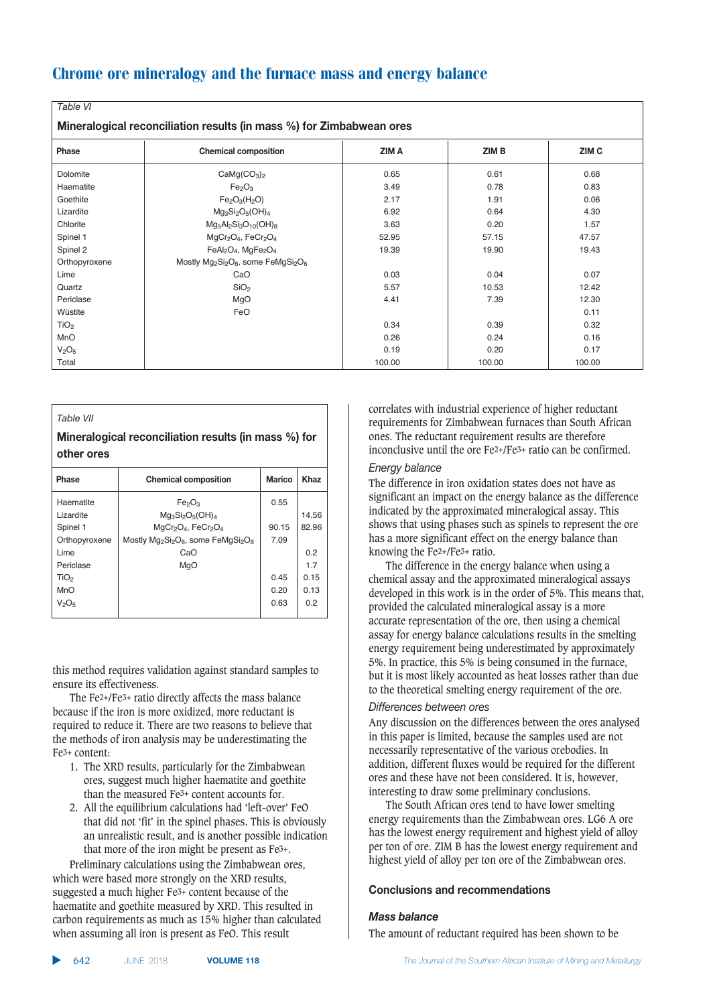| rapie vi                                                             |                                                                                                 |        |        |        |  |  |  |  |  |
|----------------------------------------------------------------------|-------------------------------------------------------------------------------------------------|--------|--------|--------|--|--|--|--|--|
| Mineralogical reconciliation results (in mass %) for Zimbabwean ores |                                                                                                 |        |        |        |  |  |  |  |  |
| Phase                                                                | <b>Chemical composition</b>                                                                     | ZIM A  | ZIM B  | ZIM C  |  |  |  |  |  |
| Dolomite                                                             | CaMg(CO <sub>3</sub> ) <sub>2</sub>                                                             | 0.65   | 0.61   | 0.68   |  |  |  |  |  |
| Haematite                                                            | Fe <sub>2</sub> O <sub>3</sub>                                                                  | 3.49   | 0.78   | 0.83   |  |  |  |  |  |
| Goethite                                                             | $Fe2O3(H2O)$                                                                                    | 2.17   | 1.91   | 0.06   |  |  |  |  |  |
| Lizardite                                                            | $Mg_3Si_2O_5(OH)_4$                                                                             | 6.92   | 0.64   | 4.30   |  |  |  |  |  |
| Chlorite                                                             | $Mg_5Al_2Si_3O_{10}(OH)_{8}$                                                                    | 3.63   | 0.20   | 1.57   |  |  |  |  |  |
| Spinel 1                                                             | $MgCr2O4$ , FeCr <sub>2</sub> O <sub>4</sub>                                                    | 52.95  | 57.15  | 47.57  |  |  |  |  |  |
| Spinel 2                                                             | FeAl <sub>2</sub> O <sub>4</sub> , MgFe <sub>2</sub> O <sub>4</sub>                             | 19.39  | 19.90  | 19.43  |  |  |  |  |  |
| Orthopyroxene                                                        | Mostly Mg <sub>2</sub> Si <sub>2</sub> O <sub>6</sub> , some FeMgSi <sub>2</sub> O <sub>6</sub> |        |        |        |  |  |  |  |  |
| Lime                                                                 | CaO                                                                                             | 0.03   | 0.04   | 0.07   |  |  |  |  |  |
| Quartz                                                               | SiO <sub>2</sub>                                                                                | 5.57   | 10.53  | 12.42  |  |  |  |  |  |
| Periclase                                                            | MgO                                                                                             | 4.41   | 7.39   | 12.30  |  |  |  |  |  |
| Wüstite                                                              | FeO                                                                                             |        |        | 0.11   |  |  |  |  |  |
| TiO <sub>2</sub>                                                     |                                                                                                 | 0.34   | 0.39   | 0.32   |  |  |  |  |  |
| MnO                                                                  |                                                                                                 | 0.26   | 0.24   | 0.16   |  |  |  |  |  |
| V <sub>2</sub> O <sub>5</sub>                                        |                                                                                                 | 0.19   | 0.20   | 0.17   |  |  |  |  |  |
| Total                                                                |                                                                                                 | 100.00 | 100.00 | 100.00 |  |  |  |  |  |

#### *Table VII*

*Table VI*

## **Mineralogical reconciliation results (in mass %) for**  $other$  ores

| Phase            | <b>Chemical composition</b>                                         | <b>Marico</b> | Khaz  |
|------------------|---------------------------------------------------------------------|---------------|-------|
| Haematite        | Fe <sub>2</sub> O <sub>3</sub>                                      | 0.55          |       |
| Lizardite        | $Mg_3Si_2O_5(OH)_4$                                                 |               | 14.56 |
| Spinel 1         | MgCr <sub>2</sub> O <sub>4</sub> , FeCr <sub>2</sub> O <sub>4</sub> | 90.15         | 82.96 |
| Orthopyroxene    | Mostly $Mg_2Si_2O_6$ , some FeMgSi <sub>2</sub> O <sub>6</sub>      | 7.09          |       |
| Lime             | CaO                                                                 |               | 0.2   |
| Periclase        | MgO                                                                 |               | 17    |
| TiO <sub>2</sub> |                                                                     | 0.45          | 0.15  |
| MnO              |                                                                     | 0.20          | 0.13  |
| $V_2O_5$         |                                                                     | 0.63          | 0.2   |
|                  |                                                                     |               |       |

this method requires validation against standard samples to ensure its effectiveness.

The Fe2+/Fe3+ ratio directly affects the mass balance because if the iron is more oxidized, more reductant is required to reduce it. There are two reasons to believe that the methods of iron analysis may be underestimating the Fe3+ content:

- 1. The XRD results, particularly for the Zimbabwean ores, suggest much higher haematite and goethite than the measured Fe3+ content accounts for.
- 2. All the equilibrium calculations had 'left-over' FeO that did not 'fit' in the spinel phases. This is obviously an unrealistic result, and is another possible indication that more of the iron might be present as Fe3+.

Preliminary calculations using the Zimbabwean ores, which were based more strongly on the XRD results, suggested a much higher Fe3+ content because of the haematite and goethite measured by XRD. This resulted in carbon requirements as much as 15% higher than calculated when assuming all iron is present as FeO. This result

correlates with industrial experience of higher reductant requirements for Zimbabwean furnaces than South African ones. The reductant requirement results are therefore inconclusive until the ore Fe2+/Fe3+ ratio can be confirmed.

#### *Energy balance*

The difference in iron oxidation states does not have as significant an impact on the energy balance as the difference indicated by the approximated mineralogical assay. This shows that using phases such as spinels to represent the ore has a more significant effect on the energy balance than knowing the Fe2+/Fe3+ ratio.

The difference in the energy balance when using a chemical assay and the approximated mineralogical assays developed in this work is in the order of 5%. This means that, provided the calculated mineralogical assay is a more accurate representation of the ore, then using a chemical assay for energy balance calculations results in the smelting energy requirement being underestimated by approximately 5%. In practice, this 5% is being consumed in the furnace, but it is most likely accounted as heat losses rather than due to the theoretical smelting energy requirement of the ore.

#### Differences between ores

Any discussion on the differences between the ores analysed in this paper is limited, because the samples used are not necessarily representative of the various orebodies. In addition, different fluxes would be required for the different ores and these have not been considered. It is, however, interesting to draw some preliminary conclusions.

The South African ores tend to have lower smelting energy requirements than the Zimbabwean ores. LG6 A ore has the lowest energy requirement and highest yield of alloy per ton of ore. ZIM B has the lowest energy requirement and highest yield of alloy per ton ore of the Zimbabwean ores.

# $$

#### **Mass balance**

The amount of reductant required has been shown to be